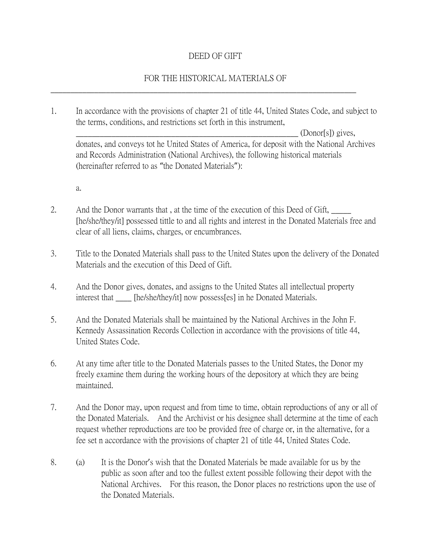## DEED OF GIFT

## FOR THE HISTORICAL MATERIALS OF

\_\_\_\_\_\_\_\_\_\_\_\_\_\_\_\_\_\_\_\_\_\_\_\_\_\_\_\_\_\_\_\_\_\_\_\_\_\_\_\_\_\_\_\_\_\_\_\_\_\_\_\_\_\_\_\_\_\_\_\_\_\_\_\_\_\_\_\_\_\_\_\_\_\_\_\_\_

1. In accordance with the provisions of chapter 21 of title 44, United States Code, and subject to the terms, conditions, and restrictions set forth in this instrument,

 $(Donor[s])$  gives, donates, and conveys tot he United States of America, for deposit with the National Archives and Records Administration (National Archives), the following historical materials (hereinafter referred to as "the Donated Materials"):

a.

- 2. And the Donor warrants that, at the time of the execution of this Deed of Gift, [he/she/they/it] possessed tittle to and all rights and interest in the Donated Materials free and clear of all liens, claims, charges, or encumbrances.
- 3. Title to the Donated Materials shall pass to the United States upon the delivery of the Donated Materials and the execution of this Deed of Gift.
- 4. And the Donor gives, donates, and assigns to the United States all intellectual property interest that \_\_\_\_ [he/she/they/it] now possess[es] in he Donated Materials.
- 5. And the Donated Materials shall be maintained by the National Archives in the John F. Kennedy Assassination Records Collection in accordance with the provisions of title 44, United States Code.
- 6. At any time after title to the Donated Materials passes to the United States, the Donor my freely examine them during the working hours of the depository at which they are being maintained.
- 7. And the Donor may, upon request and from time to time, obtain reproductions of any or all of the Donated Materials. And the Archivist or his designee shall determine at the time of each request whether reproductions are too be provided free of charge or, in the alternative, for a fee set n accordance with the provisions of chapter 21 of title 44, United States Code.
- 8. (a) It is the Donor's wish that the Donated Materials be made available for us by the public as soon after and too the fullest extent possible following their depot with the National Archives. For this reason, the Donor places no restrictions upon the use of the Donated Materials.